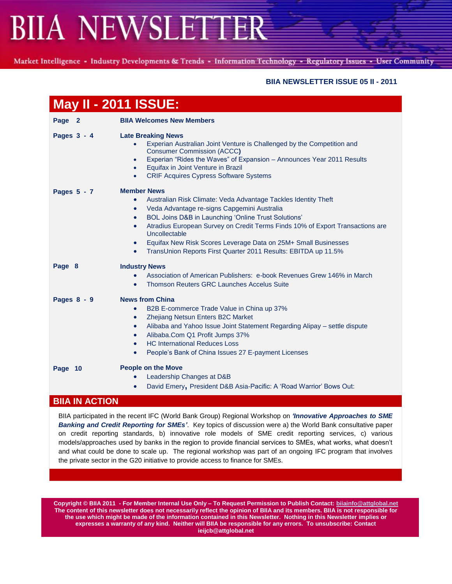Market Intelligence - Industry Developments & Trends - Information Technology - Regulatory Issues - User Community

### **BIIA NEWSLETTER ISSUE 05 II - 2011**

| <b>May II - 2011 ISSUE:</b> |                                                                                                                                                                                                                                                                                                                                                                                                                                                                                                                |
|-----------------------------|----------------------------------------------------------------------------------------------------------------------------------------------------------------------------------------------------------------------------------------------------------------------------------------------------------------------------------------------------------------------------------------------------------------------------------------------------------------------------------------------------------------|
| Page 2                      | <b>BIIA Welcomes New Members</b>                                                                                                                                                                                                                                                                                                                                                                                                                                                                               |
| Pages 3 - 4                 | <b>Late Breaking News</b><br>Experian Australian Joint Venture is Challenged by the Competition and<br><b>Consumer Commission (ACCC)</b><br>Experian "Rides the Waves" of Expansion - Announces Year 2011 Results<br>$\bullet$<br>Equifax in Joint Venture in Brazil<br>$\bullet$<br><b>CRIF Acquires Cypress Software Systems</b><br>$\bullet$                                                                                                                                                                |
| Pages 5 - 7                 | <b>Member News</b><br>Australian Risk Climate: Veda Advantage Tackles Identity Theft<br>$\bullet$<br>Veda Advantage re-signs Capgemini Australia<br>$\bullet$<br>BOL Joins D&B in Launching 'Online Trust Solutions'<br>$\bullet$<br>Atradius European Survey on Credit Terms Finds 10% of Export Transactions are<br>$\bullet$<br>Uncollectable<br>Equifax New Risk Scores Leverage Data on 25M+ Small Businesses<br>$\bullet$<br>TransUnion Reports First Quarter 2011 Results: EBITDA up 11.5%<br>$\bullet$ |
| Page 8                      | <b>Industry News</b><br>Association of American Publishers: e-book Revenues Grew 146% in March<br>$\bullet$<br>Thomson Reuters GRC Launches Accelus Suite<br>$\bullet$                                                                                                                                                                                                                                                                                                                                         |
| Pages 8 - 9                 | <b>News from China</b><br>B2B E-commerce Trade Value in China up 37%<br>$\bullet$<br>Zhejiang Netsun Enters B2C Market<br>$\bullet$<br>Alibaba and Yahoo Issue Joint Statement Regarding Alipay - settle dispute<br>$\bullet$<br>Alibaba.Com Q1 Profit Jumps 37%<br><b>HC International Reduces Loss</b><br>$\bullet$<br>People's Bank of China Issues 27 E-payment Licenses<br>$\bullet$                                                                                                                      |
| Page 10<br>DIIA IN ACTION   | <b>People on the Move</b><br>Leadership Changes at D&B<br>David Emery, President D&B Asia-Pacific: A 'Road Warrior' Bows Out:                                                                                                                                                                                                                                                                                                                                                                                  |

## **BIIA IN ACTION**

BIIA participated in the recent IFC (World Bank Group) Regional Workshop on *"Innovative Approaches to SME Banking and Credit Reporting for SMEs"*. Key topics of discussion were a) the World Bank consultative paper on credit reporting standards, b) innovative role models of SME credit reporting services, c) various models/approaches used by banks in the region to provide financial services to SMEs, what works, what doesn"t and what could be done to scale up. The regional workshop was part of an ongoing IFC program that involves the private sector in the G20 initiative to provide access to finance for SMEs.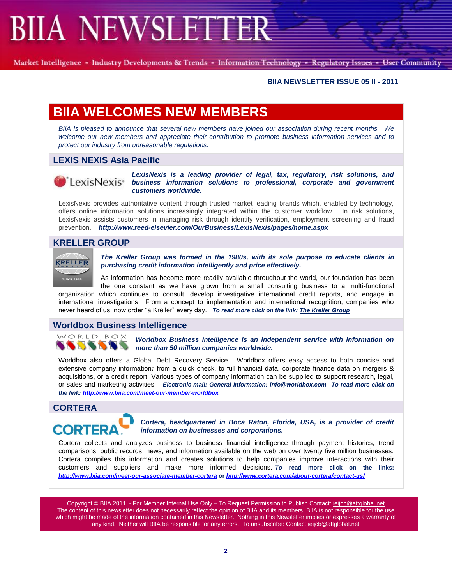Market Intelligence - Industry Developments & Trends - Information Technology - Regulatory Issues - User Community

#### **BIIA NEWSLETTER ISSUE 05 II - 2011**

# **BIIA WELCOMES NEW MEMBERS**

*BIIA is pleased to announce that several new members have joined our association during recent months. We welcome our new members and appreciate their contribution to promote business information services and to protect our industry from unreasonable regulations.*

# **LEXIS NEXIS Asia Pacific**



*LexisNexis is a leading provider of legal, tax, regulatory, risk solutions, and*   $\int^{\infty}_{0}$  Lexis Nexis<sup>\*</sup> business information solutions to professional, corporate and government *customers worldwide.*

LexisNexis provides authoritative content through trusted market leading brands which, enabled by technology, offers online information solutions increasingly integrated within the customer workflow. In risk solutions, LexisNexis assists customers in managing risk through identity verification, employment screening and fraud prevention. *http://www.reed-elsevier.com/OurBusiness/LexisNexis/pages/home.aspx*

# **KRELLER GROUP**



*The Kreller Group was formed in the 1980s, with its sole purpose to educate clients in purchasing credit information intelligently and price effectively.*

As information has become more readily available throughout the world, our foundation has been the one constant as we have grown from a small consulting business to a multi-functional organization which continues to consult, develop investigative international credit reports, and engage in international investigations. From a concept to implementation and international recognition, companies who never heard of us, now order "a Kreller" every day. *To read more click on the link[: The Kreller Group](http://www.kreller.com/)*

# **Worldbox Business Intelligence**



*Worldbox Business Intelligence is an independent service with information on more than 50 million companies worldwide.* 

Worldbox also offers a Global Debt Recovery Service. Worldbox offers easy access to both concise and extensive company information*:* from a quick check, to full financial data, corporate finance data on mergers & acquisitions, or a credit report. Various types of company information can be supplied to support research, legal, or sales and marketing activities. *Electronic mail: General Information: [info@worldbox.com](mailto:info@worldbox.com) To read more click on the link:<http://www.biia.com/meet-our-member-worldbox>*

## **CORTERA**



*Cortera, headquartered in Boca Raton, Florida, USA, is a provider of credit information on businesses and corporations.*

Cortera collects and analyzes business to business financial intelligence through payment histories, trend comparisons, public records, news, and information available on the web on over twenty five million businesses. Cortera compiles this information and creates solutions to help companies improve interactions with their customers and suppliers and make more informed decisions. *To* **read more click on the links:**  *<http://www.biia.com/meet-our-associate-member-cortera>* **or** *<http://www.cortera.com/about-cortera/contact-us/>*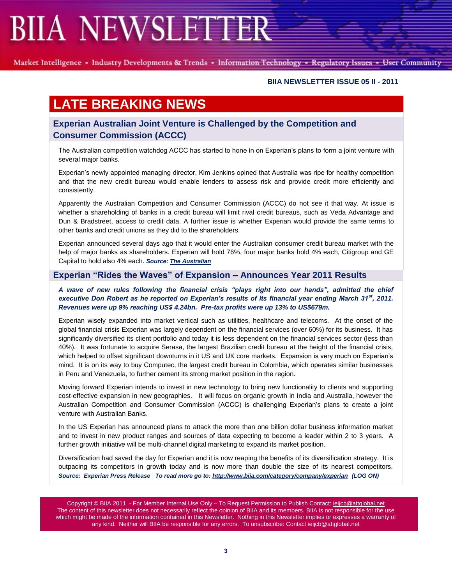Market Intelligence - Industry Developments & Trends - Information Technology - Regulatory Issues - User Community

#### **BIIA NEWSLETTER ISSUE 05 II - 2011**

# **LATE BREAKING NEWS**

# **Experian Australian Joint Venture is Challenged by the Competition and Consumer Commission (ACCC)**

The Australian competition watchdog ACCC has started to hone in on Experian's plans to form a joint venture with several major banks.

Experian"s newly appointed managing director, Kim Jenkins opined that Australia was ripe for healthy competition and that the new credit bureau would enable lenders to assess risk and provide credit more efficiently and consistently.

Apparently the Australian Competition and Consumer Commission (ACCC) do not see it that way. At issue is whether a shareholding of banks in a credit bureau will limit rival credit bureaus, such as Veda Advantage and Dun & Bradstreet, access to credit data. A further issue is whether Experian would provide the same terms to other banks and credit unions as they did to the shareholders.

Experian announced several days ago that it would enter the Australian consumer credit bureau market with the help of major banks as shareholders. Experian will hold 76%, four major banks hold 4% each, Citigroup and GE Capital to hold also 4% each. *Source: [The Australian](http://www.theaustralian.com.au/business/accc-investigates-establishing-credit-data-provider/story-e6frg8zx-1226055618879)*

## **Experian "Rides the Waves" of Expansion – Announces Year 2011 Results**

#### *A wave of new rules following the financial crisis "plays right into our hands", admitted the chief executive Don Robert as he reported on Experian"s results of its financial year ending March 31st, 2011. Revenues were up 9% reaching US\$ 4.24bn. Pre-tax profits were up 13% to US\$679m.*

Experian wisely expanded into market vertical such as utilities, healthcare and telecoms. At the onset of the global financial crisis Experian was largely dependent on the financial services (over 60%) for its business. It has significantly diversified its client portfolio and today it is less dependent on the financial services sector (less than 40%). It was fortunate to acquire Serasa, the largest Brazilian credit bureau at the height of the financial crisis, which helped to offset significant downturns in it US and UK core markets. Expansion is very much on Experian's mind. It is on its way to buy Computec, the largest credit bureau in Colombia, which operates similar businesses in Peru and Venezuela, to further cement its strong market position in the region.

Moving forward Experian intends to invest in new technology to bring new functionality to clients and supporting cost-effective expansion in new geographies. It will focus on organic growth in India and Australia, however the Australian Competition and Consumer Commission (ACCC) is challenging Experian"s plans to create a joint venture with Australian Banks.

In the US Experian has announced plans to attack the more than one billion dollar business information market and to invest in new product ranges and sources of data expecting to become a leader within 2 to 3 years. A further growth initiative will be multi-channel digital marketing to expand its market position.

Diversification had saved the day for Experian and it is now reaping the benefits of its diversification strategy. It is outpacing its competitors in growth today and is now more than double the size of its nearest competitors. *Source: Experian Press Release To read more go to[: http://www.biia.com/category/company/experian](http://www.biia.com/category/company/experian) (LOG ON)*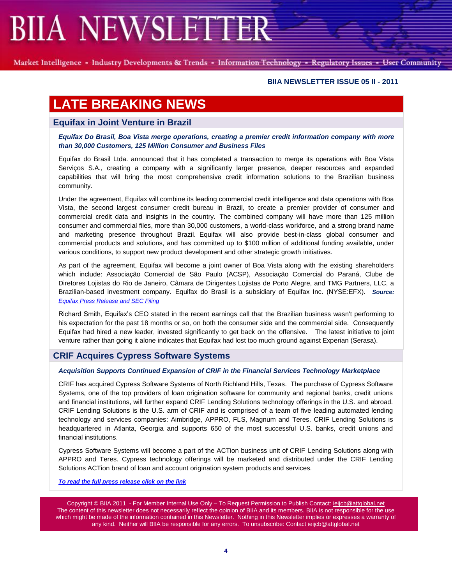Market Intelligence - Industry Developments & Trends - Information Technology - Regulatory Issues - User Community

### **BIIA NEWSLETTER ISSUE 05 II - 2011**

# **LATE BREAKING NEWS**

## **Equifax in Joint Venture in Brazil**

*Equifax Do Brasil, Boa Vista merge operations, creating a premier credit information company with more than 30,000 Customers, 125 Million Consumer and Business Files*

Equifax do Brasil Ltda. announced that it has completed a transaction to merge its operations with Boa Vista Serviços S.A., creating a company with a significantly larger presence, deeper resources and expanded capabilities that will bring the most comprehensive credit information solutions to the Brazilian business community.

Under the agreement, Equifax will combine its leading commercial credit intelligence and data operations with Boa Vista, the second largest consumer credit bureau in Brazil, to create a premier provider of consumer and commercial credit data and insights in the country. The combined company will have more than 125 million consumer and commercial files, more than 30,000 customers, a world-class workforce, and a strong brand name and marketing presence throughout Brazil. Equifax will also provide best-in-class global consumer and commercial products and solutions, and has committed up to \$100 million of additional funding available, under various conditions, to support new product development and other strategic growth initiatives.

As part of the agreement, Equifax will become a joint owner of Boa Vista along with the existing shareholders which include: Associação Comercial de São Paulo (ACSP), Associação Comercial do Paraná, Clube de Diretores Lojistas do Rio de Janeiro, Câmara de Dirigentes Lojistas de Porto Alegre, and TMG Partners, LLC, a Brazilian-based investment company. Equifax do Brasil is a subsidiary of Equifax Inc. (NYSE:EFX). *Source: [Equifax Press Release and SEC Filing](http://phx.corporate-ir.net/phoenix.zhtml?c=92013&p=irol-sec)*

Richard Smith, Equifax"s CEO stated in the recent earnings call that the Brazilian business wasn't performing to his expectation for the past 18 months or so, on both the consumer side and the commercial side. Consequently Equifax had hired a new leader, invested significantly to get back on the offensive. The latest initiative to joint venture rather than going it alone indicates that Equifax had lost too much ground against Experian (Serasa).

# **CRIF Acquires Cypress Software Systems**

#### *Acquisition Supports Continued Expansion of CRIF in the Financial Services Technology Marketplace*

CRIF has acquired Cypress Software Systems of North Richland Hills, Texas. The purchase of Cypress Software Systems, one of the top providers of loan origination software for community and regional banks, credit unions and financial institutions, will further expand CRIF Lending Solutions technology offerings in the U.S. and abroad. CRIF Lending Solutions is the U.S. arm of CRIF and is comprised of a team of five leading automated lending technology and services companies: Aimbridge, APPRO, FLS, Magnum and Teres. CRIF Lending Solutions is headquartered in Atlanta, Georgia and supports 650 of the most successful U.S. banks, credit unions and financial institutions.

Cypress Software Systems will become a part of the ACTion business unit of CRIF Lending Solutions along with APPRO and Teres. Cypress technology offerings will be marketed and distributed under the CRIF Lending Solutions ACTion brand of loan and account origination system products and services.

*[To read the full press release click on the link](http://www.lendingsolutions.crif.com/en/DF0B62BC-EB78-4981-9800-4880F999EDB0/CRIF-Acquires-Cypress-Software-Systems.pst)*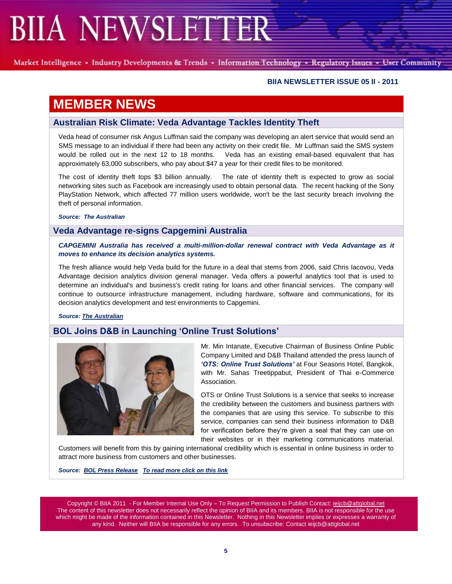Market Intelligence - Industry Developments & Trends - Information Technology - Regulatory Issues - User Community

### **BIIA NEWSLETTER ISSUE 05 II - 2011**

# **MEMBER NEWS**

## **Australian Risk Climate: Veda Advantage Tackles Identity Theft**

Veda head of consumer risk Angus Luffman said the company was developing an alert service that would send an SMS message to an individual if there had been any activity on their credit file. Mr Luffman said the SMS system would be rolled out in the next 12 to 18 months. Veda has an existing email-based equivalent that has approximately 63,000 subscribers, who pay about \$47 a year for their credit files to be monitored.

The cost of identity theft tops \$3 billion annually. The rate of identity theft is expected to grow as social networking sites such as Facebook are increasingly used to obtain personal data. The recent hacking of the Sony PlayStation Network, which affected 77 million users worldwide, won't be the last security breach involving the theft of personal information.

*Source: The Australian*

## **Veda Advantage re-signs Capgemini Australia**

### *CAPGEMINI Australia has received a multi-million-dollar renewal contract with Veda Advantage as it moves to enhance its decision analytics systems.*

The fresh alliance would help Veda build for the future in a deal that stems from 2006, said Chris Iacovou, Veda Advantage decision analytics division general manager. Veda offers a powerful analytics tool that is used to determine an individual's and business's credit rating for loans and other financial services. The company will continue to outsource infrastructure management, including hardware, software and communications, for its decision analytics development and test environments to Capgemini.

*Source[: The Australian](http://www.theaustralian.com.au/australian-it/veda-advantage-re-signs-capgemini-australia/story-e6frgakx-1226037399619?from=public_rss)*

# **BOL Joins D&B in Launching "Online Trust Solutions"**



Mr. Min Intanate, Executive Chairman of Business Online Public Company Limited and D&B Thailand attended the press launch of *"OTS: Online Trust Solutions"* at Four Seasons Hotel, Bangkok, with Mr. Sahas Treetippabut, President of Thai e-Commerce Association.

OTS or Online Trust Solutions is a service that seeks to increase the credibility between the customers and business partners with the companies that are using this service. To subscribe to this service, companies can send their business information to D&B for verification before they"re given a seal that they can use on their websites or in their marketing communications material.

Customers will benefit from this by gaining international credibility which is essential in online business in order to attract more business from customers and other businesses.

*Source: [BOL Press Release](https://www.bol.co.th/en/home/news_event.aspx?wnw_id=59) To read more [click on this link](https://www.bol.co.th/en/products_services/OnlineTrustSolution.aspx)*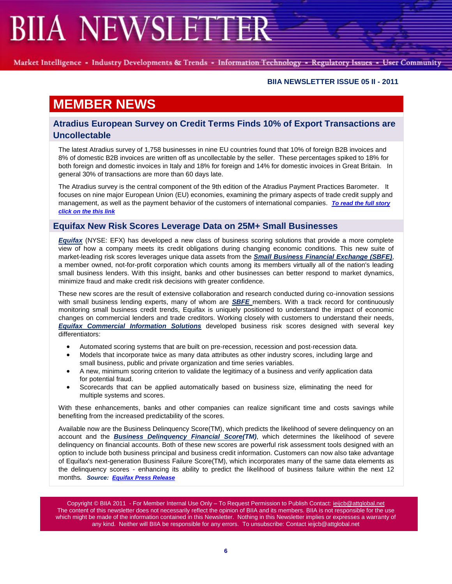Market Intelligence - Industry Developments & Trends - Information Technology - Regulatory Issues - User Community

### **BIIA NEWSLETTER ISSUE 05 II - 2011**

# **MEMBER NEWS**

# **Atradius European Survey on Credit Terms Finds 10% of Export Transactions are Uncollectable**

The latest Atradius survey of 1,758 businesses in nine EU countries found that 10% of foreign B2B invoices and 8% of domestic B2B invoices are written off as uncollectable by the seller. These percentages spiked to 18% for both foreign and domestic invoices in Italy and 18% for foreign and 14% for domestic invoices in Great Britain. In general 30% of transactions are more than 60 days late.

The Atradius survey is the central component of the 9th edition of the Atradius Payment Practices Barometer. It focuses on nine major European Union (EU) economies, examining the primary aspects of trade credit supply and management, as well as the payment behavior of the customers of international companies. *[To read the full story](http://www.biia.com/wp-content/uploads/2011/05/Atradius-Payment-Practices-Barometer-Group-Report-Spring-2011.pdf)  [click on the this link](http://www.biia.com/wp-content/uploads/2011/05/Atradius-Payment-Practices-Barometer-Group-Report-Spring-2011.pdf)*

## **Equifax New Risk Scores Leverage Data on 25M+ Small Businesses**

*[Equifax](http://www.equifax.com/)* (NYSE: EFX) has developed a new class of business scoring solutions that provide a more complete view of how a company meets its credit obligations during changing economic conditions. This new suite of market-leading risk scores leverages unique data assets from the *[Small Business Financial Exchange \(SBFE\)](http://www.sbfe.org/)*, a member owned, not-for-profit corporation which counts among its members virtually all of the nation's leading small business lenders. With this insight, banks and other businesses can better respond to market dynamics, minimize fraud and make credit risk decisions with greater confidence.

These new scores are the result of extensive collaboration and research conducted during co-innovation sessions with small business lending experts, many of whom are *[SBFE](http://www.sbfe.org/)* members. With a track record for continuously monitoring small business credit trends, Equifax is uniquely positioned to understand the impact of economic changes on commercial lenders and trade creditors. Working closely with customers to understand their needs, *[Equifax Commercial Information Solutions](http://www.equifax.com/commercial/en_us)* developed business risk scores designed with several key differentiators:

- Automated scoring systems that are built on pre-recession, recession and post-recession data.
- Models that incorporate twice as many data attributes as other industry scores, including large and small business, public and private organization and time series variables.
- A new, minimum scoring criterion to validate the legitimacy of a business and verify application data for potential fraud.
- Scorecards that can be applied automatically based on business size, eliminating the need for multiple systems and scores.

With these enhancements, banks and other companies can realize significant time and costs savings while benefiting from the increased predictability of the scores.

Available now are the Business Delinquency Score(TM), which predicts the likelihood of severe delinquency on an account and the *[Business Delinquency Financial Score\(](http://www.equifax.com/commercial/risk/account_opening/en_us)TM)*, which determines the likelihood of severe delinquency on financial accounts. Both of these new scores are powerful risk assessment tools designed with an option to include both business principal and business credit information. Customers can now also take advantage of Equifax's next-generation Business Failure Score(TM), which incorporates many of the same data elements as the delinquency scores - enhancing its ability to predict the likelihood of business failure within the next 12 months*. Source: [Equifax Press Release](http://www.equifax.com/cs7/Satellite?c=EFX_News_C&childpagename=US%2FEFX_News_C%2FPressReleasePageIframe&cid=1218148478222&p=1182374863790&packedargs=locale%3Den_us&pagename=EFX%2FWrapper)*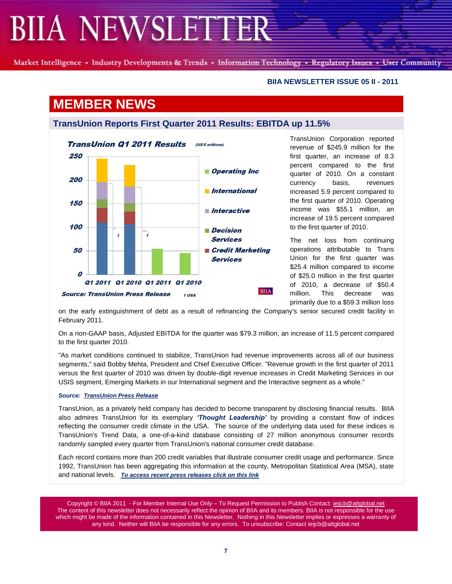Market Intelligence - Industry Developments & Trends - Information Technology - Regulatory Issues - User Community

**BIIA NEWSLETTER ISSUE 05 II - 2011**

# **MEMBER NEWS**

# **TransUnion Reports First Quarter 2011 Results: EBITDA up 11.5%**



TransUnion Corporation reported revenue of \$245.9 million for the first quarter, an increase of 8.3 percent compared to the first quarter of 2010. On a constant currency basis, revenues increased 5.9 percent compared to the first quarter of 2010. Operating income was \$55.1 million, an increase of 19.5 percent compared to the first quarter of 2010.

The net loss from continuing operations attributable to Trans Union for the first quarter was \$25.4 million compared to income of \$25.0 million in the first quarter of 2010, a decrease of \$50.4 million. This decrease was primarily due to a \$59.3 million loss

on the early extinguishment of debt as a result of refinancing the Company's senior secured credit facility in February 2011.

On a non-GAAP basis, Adjusted EBITDA for the quarter was \$79.3 million, an increase of 11.5 percent compared to the first quarter 2010.

"As market conditions continued to stabilize, TransUnion had revenue improvements across all of our business segments," said Bobby Mehta, President and Chief Executive Officer. "Revenue growth in the first quarter of 2011 versus the first quarter of 2010 was driven by double-digit revenue increases in Credit Marketing Services in our USIS segment, Emerging Markets in our International segment and the Interactive segment as a whole."

#### *Source: [TransUnion Press Release](http://newsroom.transunion.com/easyir/customrel.do?easyirid=DC2167C025A9EA04&version=live&prid=753088&releasejsp=custom_144)*

TransUnion, as a privately held company has decided to become transparent by disclosing financial results. BIIA also admires TransUnion for its exemplary *"Thought Leadership"* by providing a constant flow of indices reflecting the consumer credit climate in the USA. The source of the underlying data used for these indices is TransUnion's Trend Data, a one-of-a-kind database consisting of 27 million anonymous consumer records randomly sampled every quarter from TransUnion's national consumer credit database.

Each record contains more than 200 credit variables that illustrate consumer credit usage and performance. Since 1992, TransUnion has been aggregating this information at the county, Metropolitan Statistical Area (MSA), state and national levels. *[To access recent press releases click on this link](http://newsroom.transunion.com/easyir/home.do?easyirid=DC2167C025A9EA04)*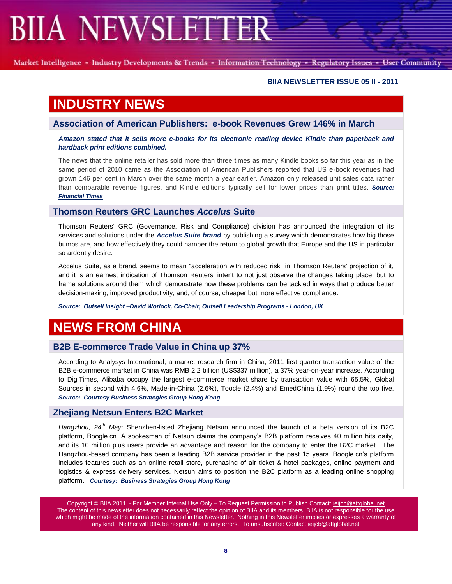Market Intelligence - Industry Developments & Trends - Information Technology - Regulatory Issues - User Community

#### **BIIA NEWSLETTER ISSUE 05 II - 2011**

# **INDUSTRY NEWS**

**Association of American Publishers: e-book Revenues Grew 146% in March**

#### *Amazon stated that it sells more e-books for its electronic reading device Kindle than paperback and hardback print editions combined.*

The news that the online retailer has sold more than three times as many Kindle books so far this year as in the same period of 2010 came as the Association of American Publishers reported that US e-book revenues had grown 146 per cent in March over the same month a year earlier. Amazon only released unit sales data rather than comparable revenue figures, and Kindle editions typically sell for lower prices than print titles. *Source: [Financial Times](http://www.ft.com/intl/cms/s/0/efb8670a-8240-11e0-961e-00144feabdc0.html#axzz1MuyvqCsX)*

## **Thomson Reuters GRC Launches** *Accelus* **Suite**

Thomson Reuters' GRC (Governance, Risk and Compliance) division has announced the integration of its services and solutions under the *Accelus Suite brand* by publishing a survey which demonstrates how big those bumps are, and how effectively they could hamper the return to global growth that Europe and the US in particular so ardently desire.

Accelus Suite, as a brand, seems to mean "acceleration with reduced risk" in Thomson Reuters' projection of it, and it is an earnest indication of Thomson Reuters' intent to not just observe the changes taking place, but to frame solutions around them which demonstrate how these problems can be tackled in ways that produce better decision-making, improved productivity, and, of course, cheaper but more effective compliance.

*Source: Outsell Insight –David Worlock, Co-Chair, Outsell Leadership Programs - London, UK*

# **NEWS FROM CHINA**

# **B2B E-commerce Trade Value in China up 37%**

According to Analysys International, a market research firm in China, 2011 first quarter transaction value of the B2B e-commerce market in China was RMB 2.2 billion (US\$337 million), a 37% year-on-year increase. According to DigiTimes, Alibaba occupy the largest e-commerce market share by transaction value with 65.5%, Global Sources in second with 4.6%, Made-in-China (2.6%), Toocle (2.4%) and EmedChina (1.9%) round the top five. *Source: Courtesy Business Strategies Group Hong Kong*

## **Zhejiang Netsun Enters B2C Market**

*Hangzhou, 24th May*: Shenzhen-listed Zhejiang Netsun announced the launch of a beta version of its B2C platform, Boogle.cn. A spokesman of Netsun claims the company"s B2B platform receives 40 million hits daily, and its 10 million plus users provide an advantage and reason for the company to enter the B2C market. The Hangzhou-based company has been a leading B2B service provider in the past 15 years. Boogle.cn"s platform includes features such as an online retail store, purchasing of air ticket & hotel packages, online payment and logistics & express delivery services. Netsun aims to position the B2C platform as a leading online shopping platform. *Courtesy: Business Strategies Group Hong Kong*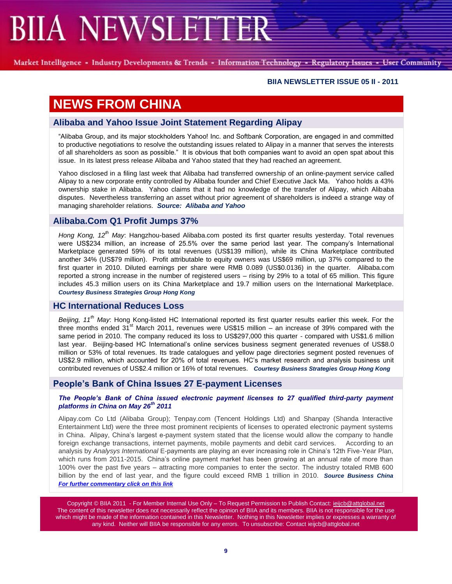Market Intelligence - Industry Developments & Trends - Information Technology - Regulatory Issues - User Community

#### **BIIA NEWSLETTER ISSUE 05 II - 2011**

# **NEWS FROM CHINA**

## **Alibaba and Yahoo Issue Joint Statement Regarding Alipay**

"Alibaba Group, and its major stockholders Yahoo! Inc. and Softbank Corporation, are engaged in and committed to productive negotiations to resolve the outstanding issues related to Alipay in a manner that serves the interests of all shareholders as soon as possible." It is obvious that both companies want to avoid an open spat about this issue. In its latest press release Alibaba and Yahoo stated that they had reached an agreement.

Yahoo disclosed in a filing last week that Alibaba had transferred ownership of an online-payment service called Alipay to a new corporate entity controlled by Alibaba founder and Chief Executive Jack Ma. Yahoo holds a 43% ownership stake in Alibaba. Yahoo claims that it had no knowledge of the transfer of Alipay, which Alibaba disputes. Nevertheless transferring an asset without prior agreement of shareholders is indeed a strange way of managing shareholder relations. *Source: Alibaba and Yahoo*

# **Alibaba.Com Q1 Profit Jumps 37%**

*Hong Kong, 12th May*: Hangzhou-based Alibaba.com posted its first quarter results yesterday. Total revenues were US\$234 million, an increase of 25.5% over the same period last year. The company"s International Marketplace generated 59% of its total revenues (US\$139 million), while its China Marketplace contributed another 34% (US\$79 million). Profit attributable to equity owners was US\$69 million, up 37% compared to the first quarter in 2010. Diluted earnings per share were RMB 0.089 (US\$0.0136) in the quarter. Alibaba.com reported a strong increase in the number of registered users – rising by 29% to a total of 65 million. This figure includes 45.3 million users on its China Marketplace and 19.7 million users on the International Marketplace. *Courtesy Business Strategies Group Hong Kong*

## **HC International Reduces Loss**

*Beijing, 11th May*: Hong Kong-listed HC International reported its first quarter results earlier this week. For the three months ended  $31<sup>st</sup>$  March 2011, revenues were US\$15 million – an increase of 39% compared with the same period in 2010. The company reduced its loss to US\$297,000 this quarter - compared with US\$1.6 million last year. Beijing-based HC International"s online services business segment generated revenues of US\$8.0 million or 53% of total revenues. Its trade catalogues and yellow page directories segment posted revenues of US\$2.9 million, which accounted for 20% of total revenues. HC"s market research and analysis business unit contributed revenues of US\$2.4 million or 16% of total revenues. *Courtesy Business Strategies Group Hong Kong*

## **People"s Bank of China Issues 27 E-payment Licenses**

#### *The People"s Bank of China issued electronic payment licenses to 27 qualified third-party payment platforms in China on May 26th 2011*

Alipay.com Co Ltd (Alibaba Group); Tenpay.com (Tencent Holdings Ltd) and Shanpay (Shanda Interactive Entertainment Ltd) were the three most prominent recipients of licenses to operated electronic payment systems in China. Alipay, China's largest e-payment system stated that the license would allow the company to handle foreign exchange transactions, internet payments, mobile payments and debit card services. According to an analysis by *Analysys International* E-payments are playing an ever increasing role in China"s 12th Five-Year Plan, which runs from 2011-2015. China's online payment market has been growing at an annual rate of more than 100% over the past five years – attracting more companies to enter the sector. The industry totaled RMB 600 billion by the end of last year, and the figure could exceed RMB 1 trillion in 2010. *Source Business China [For further commentary click on this link](http://washpost.bloomberg.com/Story?docId=1376-LLRC2C6S972C01-10SG4QUE5O0G0V5785TJ9EILVU)*